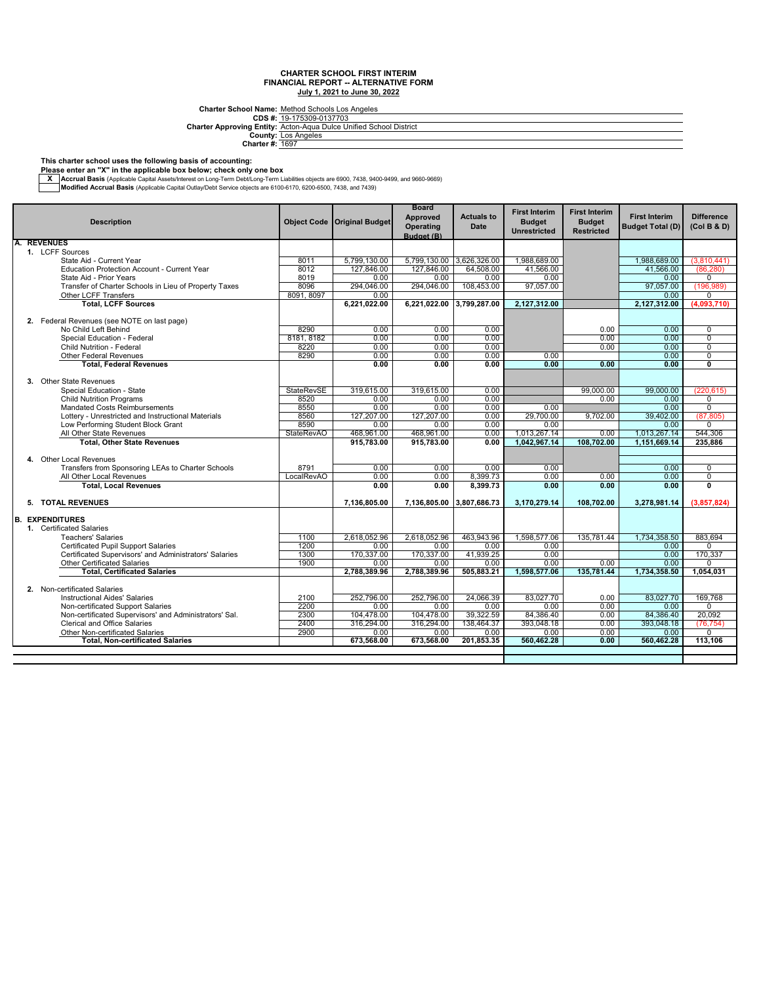**CDS #: Charter Approving Entity:** Charter School Name: Method Schools Los Angeles<br>
CDS #: 19-175309-0137703<br>
Acton-Aqua Dulce Unified School District<br>
County: <u>Los Angeles</u><br>
Charter #: <u>1697</u>

#### **This charter school uses the following basis of accounting:**

**Please enter an "X" in the applicable box below; check only one box**

— Accrual Basis (Applicable Capital Assets/Interest on Long-Term Debt/Long-Term Liabilities objects are 6900, 7438, 9400-9499, and 9660-9669, Architect State Internal Basis (Applicable Capital Outlay/Debt Service object

|    | <b>Description</b>                                                                          | <b>Object Code</b>        | <b>Original Budget</b> | <b>Board</b><br>Approved<br>Operating<br>Budget (B) | <b>Actuals to</b><br>Date | <b>First Interim</b><br><b>Budget</b><br><b>Unrestricted</b> | <b>First Interim</b><br><b>Budget</b><br><b>Restricted</b> | <b>First Interim</b><br><b>Budget Total (D)</b> | <b>Difference</b><br>(Col B & D) |
|----|---------------------------------------------------------------------------------------------|---------------------------|------------------------|-----------------------------------------------------|---------------------------|--------------------------------------------------------------|------------------------------------------------------------|-------------------------------------------------|----------------------------------|
|    | <b>REVENUES</b>                                                                             |                           |                        |                                                     |                           |                                                              |                                                            |                                                 |                                  |
|    | 1. LCFF Sources                                                                             |                           |                        |                                                     |                           |                                                              |                                                            |                                                 |                                  |
|    | State Aid - Current Year                                                                    | 8011                      | 5,799,130.00           |                                                     | 5,799,130.00 3,626,326.00 | 1,988,689.00                                                 |                                                            | 1,988,689.00                                    | (3,810,441)                      |
|    | <b>Education Protection Account - Current Year</b>                                          | 8012                      | 127,846.00             | 127,846.00                                          | 64,508.00                 | 41,566.00                                                    |                                                            | 41,566.00                                       | (86, 280)                        |
|    | State Aid - Prior Years                                                                     | 8019                      | 0.00                   | 0.00                                                | 0.00                      | 0.00                                                         |                                                            | 0.00                                            | 0                                |
|    | Transfer of Charter Schools in Lieu of Property Taxes                                       | 8096                      | 294.046.00             | 294,046.00                                          | 108,453.00                | 97,057.00                                                    |                                                            | 97.057.00                                       | (196, 989)                       |
|    | Other LCFF Transfers                                                                        | 8091, 8097                | 0.00                   |                                                     |                           |                                                              |                                                            | 0.00                                            | $\mathbf 0$                      |
|    | <b>Total, LCFF Sources</b>                                                                  |                           | 6,221,022.00           | 6,221,022.00                                        | 3,799,287.00              | 2,127,312.00                                                 |                                                            | 2,127,312.00                                    | (4.093.710)                      |
|    | 2. Federal Revenues (see NOTE on last page)                                                 |                           |                        |                                                     |                           |                                                              |                                                            |                                                 |                                  |
|    | No Child Left Behind                                                                        | 8290                      | 0.00                   | 0.00                                                | 0.00                      |                                                              | 0.00                                                       | 0.00                                            | $\mathbf 0$                      |
|    | Special Education - Federal                                                                 | 8181, 8182                | 0.00                   | 0.00                                                | 0.00                      |                                                              | 0.00                                                       | 0.00                                            | $\mathbf 0$                      |
|    | <b>Child Nutrition - Federal</b>                                                            | 8220                      | 0.00                   | 0.00                                                | 0.00                      |                                                              | 0.00                                                       | 0.00                                            | $\overline{0}$                   |
|    | Other Federal Revenues                                                                      | 8290                      | 0.00                   | 0.00                                                | 0.00                      | 0.00                                                         |                                                            | 0.00                                            | $\overline{0}$                   |
|    | <b>Total, Federal Revenues</b>                                                              |                           | 0.00                   | 0.00                                                | 0.00                      | 0.00                                                         | 0.00                                                       | 0.00                                            | $\mathbf{0}$                     |
|    |                                                                                             |                           |                        |                                                     |                           |                                                              |                                                            |                                                 |                                  |
|    | 3. Other State Revenues                                                                     |                           |                        | 319,615.00                                          |                           |                                                              |                                                            | 99.000.00                                       |                                  |
|    | Special Education - State<br><b>Child Nutrition Programs</b>                                | <b>StateRevSE</b><br>8520 | 319.615.00<br>0.00     | 0.00                                                | 0.00<br>0.00              |                                                              | 99.000.00<br>0.00                                          | 0.00                                            | (220.615)<br>0                   |
|    | <b>Mandated Costs Reimbursements</b>                                                        | 8550                      | 0.00                   | 0.00                                                | 0.00                      | 0.00                                                         |                                                            | 0.00                                            | $\overline{0}$                   |
|    | Lottery - Unrestricted and Instructional Materials                                          | 8560                      | 127.207.00             | 127.207.00                                          | 0.00                      | 29,700.00                                                    | 9.702.00                                                   | 39.402.00                                       | (87.805)                         |
|    | Low Performing Student Block Grant                                                          | 8590                      | 0.00                   | 0.00                                                | 0.00                      | 0.00                                                         |                                                            | 0.00                                            | $\Omega$                         |
|    | All Other State Revenues                                                                    | <b>StateRevAO</b>         | 468,961.00             | 468,961.00                                          | 0.00                      | 1,013,267.14                                                 | 0.00                                                       | 1,013,267.14                                    | 544,306                          |
|    | <b>Total, Other State Revenues</b>                                                          |                           | 915,783.00             | 915,783.00                                          | 0.00                      | 1,042,967.14                                                 | 108,702.00                                                 | 1,151,669.14                                    | 235,886                          |
|    |                                                                                             |                           |                        |                                                     |                           |                                                              |                                                            |                                                 |                                  |
|    | 4. Other Local Revenues                                                                     |                           |                        |                                                     |                           |                                                              |                                                            |                                                 |                                  |
|    | Transfers from Sponsoring LEAs to Charter Schools                                           | 8791                      | 0.00                   | 0.00                                                | 0.00                      | 0.00                                                         |                                                            | 0.00                                            | $\mathbf 0$                      |
|    | All Other Local Revenues                                                                    | LocalRevAO                | 0.00                   | 0.00                                                | 8.399.73                  | 0.00                                                         | 0.00                                                       | 0.00                                            | $\overline{0}$                   |
|    | <b>Total, Local Revenues</b>                                                                |                           | 0.00                   | 0.00                                                | 8.399.73                  | 0.00                                                         | 0.00                                                       | 0.00                                            | $\overline{\mathbf{0}}$          |
|    |                                                                                             |                           |                        |                                                     |                           |                                                              |                                                            |                                                 |                                  |
|    | 5. TOTAL REVENUES                                                                           |                           | 7,136,805.00           |                                                     | 7,136,805.00 3,807,686.73 | 3,170,279.14                                                 | 108,702.00                                                 | 3,278,981.14                                    | (3,857,824)                      |
| B. | <b>EXPENDITURES</b>                                                                         |                           |                        |                                                     |                           |                                                              |                                                            |                                                 |                                  |
|    | 1. Certificated Salaries                                                                    |                           |                        |                                                     |                           |                                                              |                                                            |                                                 |                                  |
|    | <b>Teachers' Salaries</b>                                                                   | 1100                      | 2,618,052.96           | 2,618,052.96                                        | 463,943.96                | 1,598,577.06                                                 | 135.781.44                                                 | 1.734.358.50                                    | 883,694                          |
|    | Certificated Pupil Support Salaries                                                         | 1200                      | 0.00                   | 0.00                                                | 0.00                      | 0.00                                                         |                                                            | 0.00                                            | $\Omega$                         |
|    | Certificated Supervisors' and Administrators' Salaries                                      | 1300                      | 170,337.00             | 170,337.00                                          | 41,939.25                 | 0.00                                                         |                                                            | 0.00                                            | 170,337                          |
|    | <b>Other Certificated Salaries</b>                                                          | 1900                      | 0.00                   | 0.00                                                | 0.00                      | 0.00                                                         | 0.00                                                       | 0.00                                            | 0                                |
|    | <b>Total, Certificated Salaries</b>                                                         |                           | 2,788,389.96           | 2.788.389.96                                        | 505.883.21                | 1,598,577.06                                                 | 135,781.44                                                 | 1,734,358.50                                    | 1,054,031                        |
|    |                                                                                             |                           |                        |                                                     |                           |                                                              |                                                            |                                                 |                                  |
|    | 2. Non-certificated Salaries                                                                |                           |                        |                                                     |                           |                                                              |                                                            |                                                 |                                  |
|    | <b>Instructional Aides' Salaries</b>                                                        | 2100                      | 252,796.00             | 252,796.00                                          | 24,066.39                 | 83,027.70                                                    | 0.00                                                       | 83,027.70                                       | 169,768                          |
|    | Non-certificated Support Salaries<br>Non-certificated Supervisors' and Administrators' Sal. | 2200<br>2300              | 0.00<br>104,478.00     | 0.00                                                | 0.00<br>39,322.59         | 0.00<br>84,386.40                                            | 0.00                                                       | 0.00                                            | 0<br>20.092                      |
|    | Clerical and Office Salaries                                                                | 2400                      | 316,294.00             | 104,478.00<br>316,294.00                            | 138,464.37                | 393,048.18                                                   | 0.00<br>0.00                                               | 84,386.40<br>393.048.18                         | (76, 754)                        |
|    | <b>Other Non-certificated Salaries</b>                                                      | 2900                      | 0.00                   | 0.00                                                | 0.00                      | 0.00                                                         | 0.00                                                       | 0.00                                            | 0                                |
|    | <b>Total. Non-certificated Salaries</b>                                                     |                           | 673,568.00             | 673,568.00                                          | 201.853.35                | 560,462.28                                                   | 0.00                                                       | 560.462.28                                      | 113,106                          |
|    |                                                                                             |                           |                        |                                                     |                           |                                                              |                                                            |                                                 |                                  |
|    |                                                                                             |                           |                        |                                                     |                           |                                                              |                                                            |                                                 |                                  |
|    |                                                                                             |                           |                        |                                                     |                           |                                                              |                                                            |                                                 |                                  |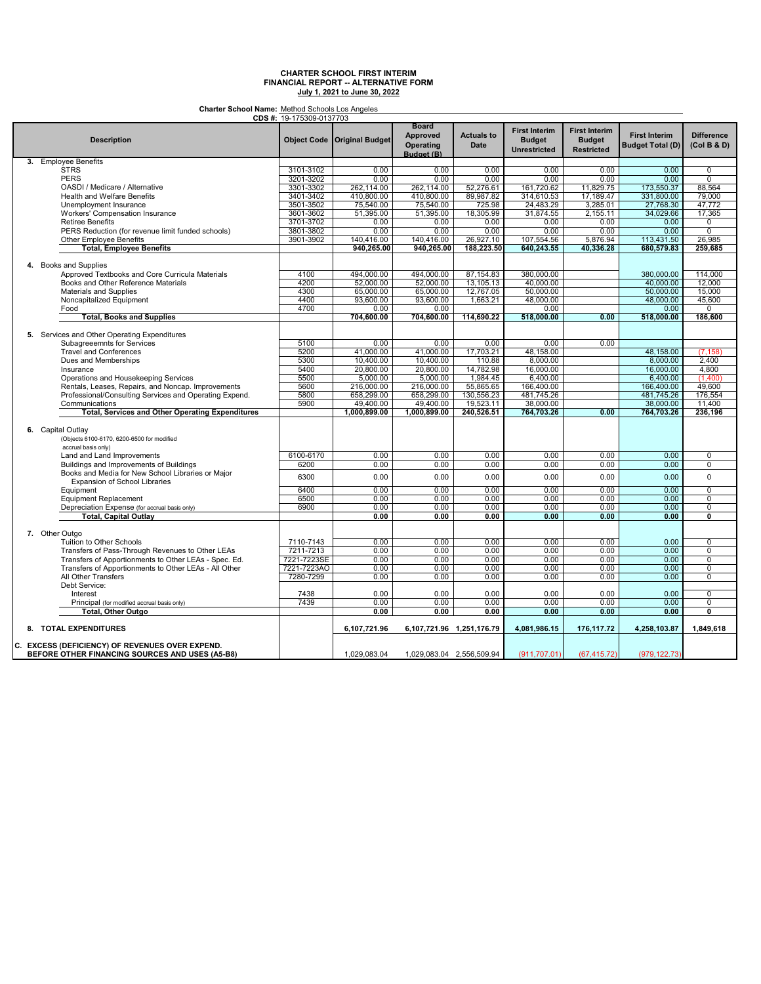**Charter School Name:** Method Schools Los Angeles

| CDS #: 19-175309-0137703                                                 |             |                               |                                                     |                                  |                                                              |                                                            |                                                 |                                  |
|--------------------------------------------------------------------------|-------------|-------------------------------|-----------------------------------------------------|----------------------------------|--------------------------------------------------------------|------------------------------------------------------------|-------------------------------------------------|----------------------------------|
| <b>Description</b>                                                       |             | Object Code   Original Budget | <b>Board</b><br>Approved<br>Operating<br>Budget (B) | <b>Actuals to</b><br><b>Date</b> | <b>First Interim</b><br><b>Budget</b><br><b>Unrestricted</b> | <b>First Interim</b><br><b>Budget</b><br><b>Restricted</b> | <b>First Interim</b><br><b>Budget Total (D)</b> | <b>Difference</b><br>(Col B & D) |
| 3. Employee Benefits                                                     |             |                               |                                                     |                                  |                                                              |                                                            |                                                 |                                  |
| <b>STRS</b>                                                              | 3101-3102   | 0.00                          | 0.00                                                | 0.00                             | 0.00                                                         | 0.00                                                       | 0.00                                            | 0                                |
| <b>PERS</b>                                                              | 3201-3202   | 0.00                          | 0.00                                                | 0.00                             | 0.00                                                         | 0.00                                                       | 0.00                                            | $\overline{0}$                   |
| OASDI / Medicare / Alternative                                           | 3301-3302   | 262,114.00                    | 262,114.00                                          | 52,276.61                        | 161,720.62                                                   | 11,829.75                                                  | 173,550.37                                      | 88,564                           |
| <b>Health and Welfare Benefits</b>                                       | 3401-3402   | 410,800.00                    | 410,800.00                                          | 89,987.82                        | 314,610.53                                                   | 17,189.47                                                  | 331,800.00                                      | 79.000                           |
|                                                                          |             |                               |                                                     |                                  |                                                              |                                                            |                                                 |                                  |
| Unemployment Insurance                                                   | 3501-3502   | 75,540.00                     | 75,540.00                                           | 725.98                           | 24,483.29                                                    | 3,285.01                                                   | 27,768.30                                       | 47,772                           |
| <b>Workers' Compensation Insurance</b>                                   | 3601-3602   | 51,395.00                     | 51,395.00                                           | 18,305.99                        | 31,874.55                                                    | 2,155.11                                                   | 34,029.66                                       | 17,365                           |
| <b>Retiree Benefits</b>                                                  | 3701-3702   | 0.00                          | 0.00                                                | 0.00                             | 0.00                                                         | 0.00                                                       | 0.00                                            | 0                                |
| PERS Reduction (for revenue limit funded schools)                        | 3801-3802   | 0.00                          | 0.00                                                | 0.00                             | 0.00                                                         | 0.00                                                       | 0.00                                            | $\overline{0}$                   |
| Other Employee Benefits                                                  | 3901-3902   | 140,416.00                    | 140,416.00                                          | 26,927.10                        | 107,554.56                                                   | 5,876.94                                                   | 113,431.50                                      | 26,985                           |
| <b>Total, Employee Benefits</b>                                          |             | 940.265.00                    | 940,265.00                                          | 188,223.50                       | 640.243.55                                                   | 40,336.28                                                  | 680,579.83                                      | 259.685                          |
|                                                                          |             |                               |                                                     |                                  |                                                              |                                                            |                                                 |                                  |
| 4. Books and Supplies<br>Approved Textbooks and Core Curricula Materials | 4100        | 494,000.00                    | 494,000.00                                          | 87,154.83                        | 380,000.00                                                   |                                                            | 380,000.00                                      | 114,000                          |
| Books and Other Reference Materials                                      | 4200        | 52.000.00                     | 52,000.00                                           | 13,105.13                        | 40.000.00                                                    |                                                            | 40,000.00                                       | 12,000                           |
| Materials and Supplies                                                   | 4300        | 65,000.00                     | 65,000.00                                           | 12,767.05                        | 50,000.00                                                    |                                                            | 50,000.00                                       | 15,000                           |
| Noncapitalized Equipment                                                 | 4400        | 93,600.00                     | 93,600.00                                           | 1,663.21                         | 48,000.00                                                    |                                                            | 48,000.00                                       | 45,600                           |
|                                                                          | 4700        |                               |                                                     |                                  |                                                              |                                                            |                                                 | 0                                |
| Food                                                                     |             | 0.00                          | 0.00                                                |                                  | 0.00                                                         | 0.00                                                       | 0.00                                            |                                  |
| <b>Total, Books and Supplies</b>                                         |             | 704,600.00                    | 704,600.00                                          | 114,690.22                       | 518,000.00                                                   |                                                            | 518,000.00                                      | 186,600                          |
| 5. Services and Other Operating Expenditures                             |             |                               |                                                     |                                  |                                                              |                                                            |                                                 |                                  |
| Subagreeemnts for Services                                               | 5100        | 0.00                          | 0.00                                                | 0.00                             | 0.00                                                         | 0.00                                                       |                                                 |                                  |
| <b>Travel and Conferences</b>                                            | 5200        | 41,000.00                     | 41,000.00                                           | 17,703.21                        | 48,158.00                                                    |                                                            | 48,158.00                                       | (7, 158)                         |
| Dues and Memberships                                                     | 5300        | 10,400.00                     | 10.400.00                                           | 110.88                           | 8.000.00                                                     |                                                            | 8,000.00                                        | 2.400                            |
| Insurance                                                                | 5400        | 20,800.00                     | 20,800.00                                           | 14,782.98                        | 16.000.00                                                    |                                                            | 16,000.00                                       | 4,800                            |
| Operations and Housekeeping Services                                     | 5500        | 5,000.00                      | 5,000.00                                            | 1,984.45                         | 6,400.00                                                     |                                                            | 6,400.00                                        | (1.400)                          |
| Rentals, Leases, Repairs, and Noncap. Improvements                       | 5600        | 216,000.00                    | 216,000.00                                          | 55,865.65                        | 166,400.00                                                   |                                                            | 166,400.00                                      | 49,600                           |
| Professional/Consulting Services and Operating Expend.                   | 5800        | 658,299.00                    | 658,299.00                                          | 130,556.23                       | 481,745.26                                                   |                                                            | 481,745.26                                      | 176,554                          |
| Communications                                                           | 5900        | 49,400.00                     | 49,400.00                                           | 19,523.11                        | 38,000.00                                                    |                                                            | 38,000.00                                       | 11,400                           |
|                                                                          |             |                               |                                                     |                                  |                                                              |                                                            |                                                 |                                  |
| <b>Total, Services and Other Operating Expenditures</b>                  |             | 1,000,899.00                  | 1,000,899.00                                        | 240,526.51                       | 764,703.26                                                   | 0.00                                                       | 764,703.26                                      | 236,196                          |
|                                                                          |             |                               |                                                     |                                  |                                                              |                                                            |                                                 |                                  |
| 6. Capital Outlay                                                        |             |                               |                                                     |                                  |                                                              |                                                            |                                                 |                                  |
| (Objects 6100-6170, 6200-6500 for modified                               |             |                               |                                                     |                                  |                                                              |                                                            |                                                 |                                  |
| accrual basis only)                                                      |             |                               |                                                     |                                  |                                                              |                                                            |                                                 |                                  |
| Land and Land Improvements                                               | 6100-6170   | 0.00                          | 0.00                                                | 0.00                             | 0.00                                                         | 0.00                                                       | 0.00                                            | 0                                |
| Buildings and Improvements of Buildings                                  | 6200        | 0.00                          | 0.00                                                | 0.00                             | 0.00                                                         | 0.00                                                       | 0.00                                            | 0                                |
| Books and Media for New School Libraries or Major                        |             |                               |                                                     |                                  |                                                              |                                                            |                                                 |                                  |
| Expansion of School Libraries                                            | 6300        | 0.00                          | 0.00                                                | 0.00                             | 0.00                                                         | 0.00                                                       | 0.00                                            | 0                                |
| Equipment                                                                | 6400        | 0.00                          | 0.00                                                | 0.00                             | 0.00                                                         | 0.00                                                       | 0.00                                            | $\overline{0}$                   |
| <b>Equipment Replacement</b>                                             | 6500        | 0.00                          | 0.00                                                | 0.00                             | 0.00                                                         | 0.00                                                       | 0.00                                            | 0                                |
| Depreciation Expense (for accrual basis only)                            | 6900        | 0.00                          | 0.00                                                | 0.00                             | 0.00                                                         | 0.00                                                       | 0.00                                            | 0                                |
| Total, Capital Outlay                                                    |             | 0.00                          | 0.00                                                | 0.00                             | 0.00                                                         | 0.00                                                       | 0.00                                            | $\overline{0}$                   |
|                                                                          |             |                               |                                                     |                                  |                                                              |                                                            |                                                 |                                  |
| 7. Other Outgo                                                           |             |                               |                                                     |                                  |                                                              |                                                            |                                                 |                                  |
| Tuition to Other Schools                                                 | 7110-7143   | 0.00                          | 0.00                                                | 0.00                             | 0.00                                                         | 0.00                                                       | 0.00                                            | 0                                |
|                                                                          |             |                               |                                                     |                                  |                                                              |                                                            |                                                 |                                  |
| Transfers of Pass-Through Revenues to Other LEAs                         | 7211-7213   | 0.00                          | 0.00                                                | 0.00                             | 0.00                                                         | 0.00                                                       | 0.00                                            | $\overline{0}$                   |
| Transfers of Apportionments to Other LEAs - Spec. Ed.                    | 7221-7223SE | 0.00                          | 0.00                                                | 0.00                             | 0.00                                                         | 0.00                                                       | 0.00                                            | $\overline{0}$                   |
| Transfers of Apportionments to Other LEAs - All Other                    | 7221-7223AO | 0.00                          | 0.00                                                | 0.00                             | 0.00                                                         | 0.00                                                       | 0.00                                            | 0                                |
| All Other Transfers                                                      | 7280-7299   | 0.00                          | 0.00                                                | 0.00                             | 0.00                                                         | 0.00                                                       | 0.00                                            | $\overline{0}$                   |
| Debt Service:                                                            |             |                               |                                                     |                                  |                                                              |                                                            |                                                 |                                  |
| Interest                                                                 | 7438        | 0.00                          | 0.00                                                | 0.00                             | 0.00                                                         | 0.00                                                       | 0.00                                            | $\Omega$                         |
| Principal (for modified accrual basis only)                              | 7439        | 0.00                          | 0.00                                                | 0.00                             | 0.00                                                         | 0.00                                                       | 0.00                                            | 0                                |
| Total, Other Outgo                                                       |             | 0.00                          | 0.00                                                | 0.00                             | 0.00                                                         | 0.00                                                       | 0.00                                            | 0                                |
|                                                                          |             |                               |                                                     |                                  |                                                              |                                                            |                                                 |                                  |
| 8. TOTAL EXPENDITURES                                                    |             | 6,107,721.96                  | 6,107,721.96 1,251,176.79                           |                                  | 4,081,986.15                                                 | 176,117.72                                                 | 4,258,103.87                                    | 1,849,618                        |
| C. EXCESS (DEFICIENCY) OF REVENUES OVER EXPEND.                          |             |                               |                                                     |                                  |                                                              |                                                            |                                                 |                                  |
| BEFORE OTHER FINANCING SOURCES AND USES (A5-B8)                          |             | 1,029,083.04                  | 1,029,083.04 2,556,509.94                           |                                  | (911, 707.01)                                                | (67, 415.72)                                               | (979, 122.73)                                   |                                  |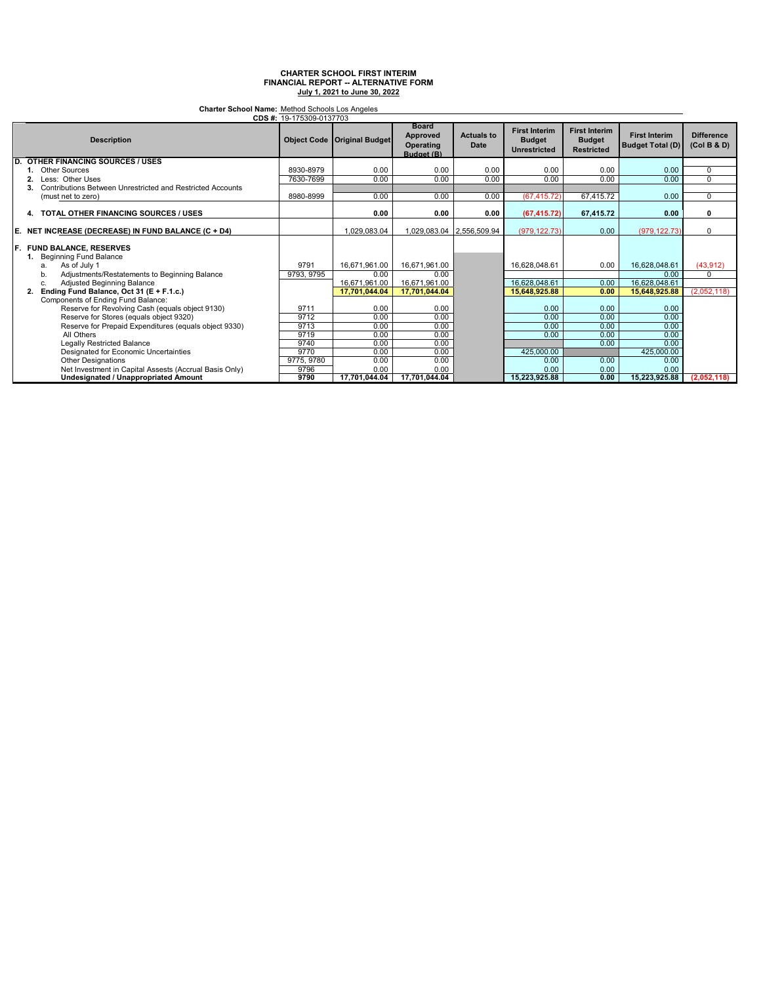**Charter School Name:** Method Schools Los Angeles

|     | CDS #: 19-175309-0137703                                                         |            |                                      |                                                            |                           |                                                              |                                                            |                                                 |                                  |
|-----|----------------------------------------------------------------------------------|------------|--------------------------------------|------------------------------------------------------------|---------------------------|--------------------------------------------------------------|------------------------------------------------------------|-------------------------------------------------|----------------------------------|
|     | <b>Description</b>                                                               |            | <b>Object Code   Original Budget</b> | <b>Board</b><br><b>Approved</b><br>Operating<br>Budget (B) | <b>Actuals to</b><br>Date | <b>First Interim</b><br><b>Budget</b><br><b>Unrestricted</b> | <b>First Interim</b><br><b>Budget</b><br><b>Restricted</b> | <b>First Interim</b><br><b>Budget Total (D)</b> | <b>Difference</b><br>(Col B & D) |
| D.  | <b>OTHER FINANCING SOURCES / USES</b>                                            |            |                                      |                                                            |                           |                                                              |                                                            |                                                 |                                  |
|     | <b>Other Sources</b>                                                             | 8930-8979  | 0.00                                 | 0.00                                                       | 0.00                      | 0.00                                                         | 0.00                                                       | 0.00                                            | $\Omega$                         |
|     | Less: Other Uses                                                                 | 7630-7699  | 0.00                                 | 0.00                                                       | 0.00                      | 0.00                                                         | 0.00                                                       | 0.00                                            | 0                                |
|     | Contributions Between Unrestricted and Restricted Accounts                       |            |                                      |                                                            |                           |                                                              |                                                            |                                                 |                                  |
|     | (must net to zero)                                                               | 8980-8999  | 0.00                                 | 0.00                                                       | 0.00                      | (67, 415.72)                                                 | 67,415.72                                                  | 0.00                                            | $\Omega$                         |
|     | 4. TOTAL OTHER FINANCING SOURCES / USES                                          |            | 0.00                                 | 0.00                                                       | 0.00                      | (67, 415.72)                                                 | 67,415.72                                                  | 0.00                                            | 0                                |
| E.  | NET INCREASE (DECREASE) IN FUND BALANCE (C + D4)                                 |            | 1.029.083.04                         | 1,029,083.04 2,556,509.94                                  |                           | (979, 122.73)                                                | 0.00                                                       | (979, 122.73)                                   | $\Omega$                         |
| IF. | <b>FUND BALANCE, RESERVES</b><br>1. Beginning Fund Balance<br>As of July 1<br>a. | 9791       | 16,671,961.00                        | 16,671,961.00                                              |                           | 16,628,048.61                                                | 0.00                                                       | 16,628,048.61                                   | (43, 912)                        |
|     | Adjustments/Restatements to Beginning Balance<br>b.                              | 9793, 9795 | 0.00                                 | 0.00                                                       |                           |                                                              |                                                            | 0.00                                            |                                  |
|     | Adjusted Beginning Balance<br>c.                                                 |            | 16,671,961.00                        | 16,671,961.00                                              |                           | 16.628.048.61                                                | 0.00                                                       | 16,628,048.61                                   |                                  |
|     | Ending Fund Balance, Oct 31 (E + F.1.c.)                                         |            | 17.701.044.04                        | 17,701,044.04                                              |                           | 15,648,925.88                                                | 0.00                                                       | 15,648,925.88                                   | (2,052,118)                      |
|     | Components of Ending Fund Balance:                                               |            |                                      |                                                            |                           |                                                              |                                                            |                                                 |                                  |
|     | Reserve for Revolving Cash (equals object 9130)                                  | 9711       | 0.00                                 | 0.00                                                       |                           | 0.00                                                         | 0.00                                                       | 0.00                                            |                                  |
|     | Reserve for Stores (equals object 9320)                                          | 9712       | 0.00                                 | 0.00                                                       |                           | 0.00                                                         | 0.00                                                       | 0.00                                            |                                  |
|     | Reserve for Prepaid Expenditures (equals object 9330)                            | 9713       | 0.00                                 | 0.00                                                       |                           | 0.00                                                         | 0.00                                                       | 0.00                                            |                                  |
|     | All Others                                                                       | 9719       | 0.00                                 | 0.00                                                       |                           | 0.00                                                         | 0.00                                                       | 0.00                                            |                                  |
|     | Legally Restricted Balance                                                       | 9740       | 0.00                                 | 0.00                                                       |                           |                                                              | 0.00                                                       | 0.00                                            |                                  |
|     | Designated for Economic Uncertainties                                            | 9770       | 0.00                                 | 0.00                                                       |                           | 425,000.00                                                   |                                                            | 425,000.00                                      |                                  |
|     | <b>Other Designations</b>                                                        | 9775, 9780 | 0.00                                 | 0.00                                                       |                           | 0.00                                                         | 0.00                                                       | 0.00                                            |                                  |
|     | Net Investment in Capital Assests (Accrual Basis Only)                           | 9796       | 0.00                                 | 0.00                                                       |                           | 0.00                                                         | 0.00                                                       | 0.00                                            |                                  |
|     | <b>Undesignated / Unappropriated Amount</b>                                      | 9790       | 17.701.044.04                        | 17.701.044.04                                              |                           | 15,223,925.88                                                | 0.00                                                       | 15,223,925.88                                   | (2.052.118)                      |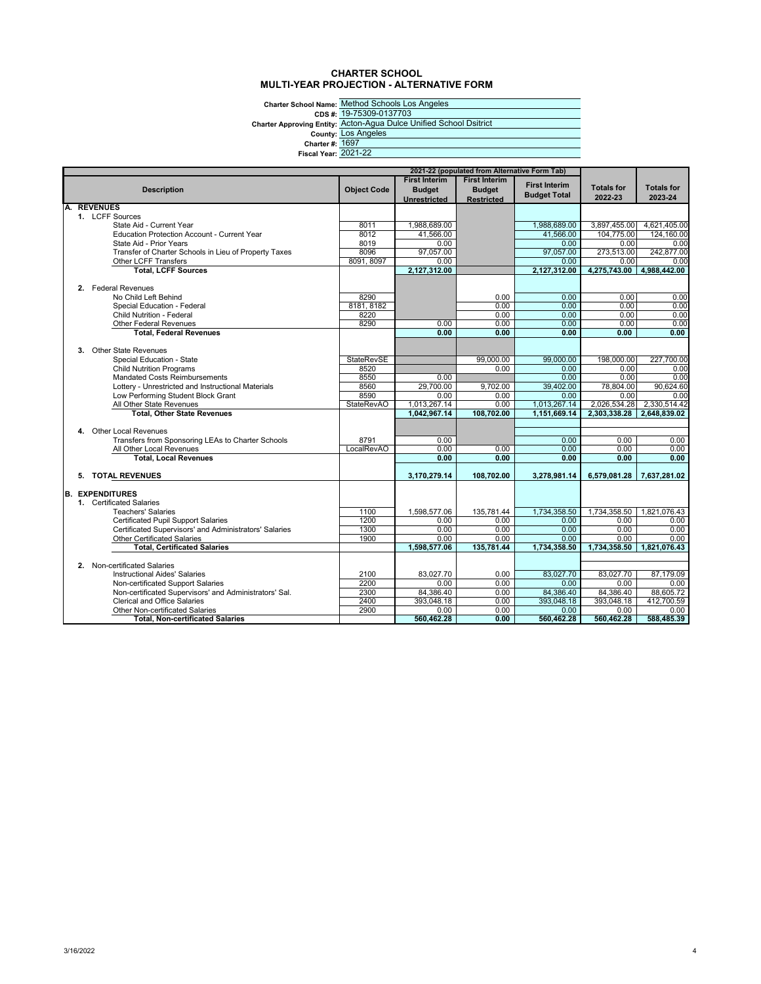### **CHARTER SCHOOL MULTI-YEAR PROJECTION - ALTERNATIVE FORM**

**Charter School Name: CDS #: Charter Approving Entity: County: Charter #: Fiscal Year:** 2021-22

Method Schools Los Angeles 19-75309-0137703 Acton-Agua Dulce Unified School Dsitrict Los Angeles 1697

| 2021-22 (populated from Alternative Form Tab) |                                                                      |                    |                      |                      |                      |                   |                   |
|-----------------------------------------------|----------------------------------------------------------------------|--------------------|----------------------|----------------------|----------------------|-------------------|-------------------|
|                                               |                                                                      |                    | <b>First Interim</b> | <b>First Interim</b> | <b>First Interim</b> |                   |                   |
|                                               | <b>Description</b>                                                   | <b>Object Code</b> | <b>Budget</b>        | <b>Budget</b>        | <b>Budget Total</b>  | <b>Totals for</b> | <b>Totals for</b> |
|                                               | <b>REVENUES</b>                                                      |                    | <b>Unrestricted</b>  | <b>Restricted</b>    |                      | 2022-23           | 2023-24           |
|                                               | 1. LCFF Sources                                                      |                    |                      |                      |                      |                   |                   |
|                                               | State Aid - Current Year                                             | 8011               | 1,988,689.00         |                      | 1,988,689.00         | 3,897,455.00      | 4,621,405.00      |
|                                               | <b>Education Protection Account - Current Year</b>                   | 8012               | 41,566.00            |                      | 41,566.00            | 104,775.00        | 124.160.00        |
|                                               | State Aid - Prior Years                                              | 8019               | 0.00                 |                      | 0.00                 | 0.00              | 0.00              |
|                                               | Transfer of Charter Schools in Lieu of Property Taxes                | 8096               | 97.057.00            |                      | 97.057.00            | 273,513.00        | 242.877.00        |
|                                               | Other LCFF Transfers                                                 | 8091, 8097         | 0.00                 |                      | 0.00                 | 0.00              | 0.00              |
|                                               | <b>Total, LCFF Sources</b>                                           |                    | 2,127,312.00         |                      | 2,127,312.00         | 4,275,743.00      | 4,988,442.00      |
|                                               |                                                                      |                    |                      |                      |                      |                   |                   |
|                                               | 2. Federal Revenues                                                  |                    |                      |                      |                      |                   |                   |
|                                               | No Child Left Behind                                                 | 8290               |                      | 0.00                 | 0.00                 | 0.00              | 0.00              |
|                                               | Special Education - Federal                                          | 8181, 8182         |                      | 0.00                 | 0.00                 | 0.00              | 0.00              |
|                                               | Child Nutrition - Federal                                            | 8220               |                      | 0.00                 | 0.00                 | 0.00              | 0.00              |
|                                               | <b>Other Federal Revenues</b>                                        | 8290               | 0.00                 | 0.00                 | 0.00                 | 0.00              | 0.00              |
|                                               | <b>Total, Federal Revenues</b>                                       |                    | 0.00                 | 0.00                 | 0.00                 | 0.00              | 0.00              |
|                                               | 3. Other State Revenues                                              |                    |                      |                      |                      |                   |                   |
|                                               | Special Education - State                                            | <b>StateRevSE</b>  |                      | 99.000.00            | 99,000.00            | 198,000.00        | 227.700.00        |
|                                               | <b>Child Nutrition Programs</b>                                      | 8520               |                      | 0.00                 | 0.00                 | 0.00              | 0.00              |
|                                               | Mandated Costs Reimbursements                                        | 8550               | 0.00                 |                      | 0.00                 | 0.00              | 0.00              |
|                                               | Lottery - Unrestricted and Instructional Materials                   | 8560               | 29,700.00            | 9,702.00             | 39,402.00            | 78,804.00         | 90,624.60         |
|                                               | Low Performing Student Block Grant                                   | 8590               | 0.00                 | 0.00                 | 0.00                 | 0.00              | 0.00              |
|                                               | All Other State Revenues                                             | <b>StateRevAO</b>  | 1,013,267.14         | 0.00                 | 1,013,267.14         | 2,026,534.28      | 2,330,514.42      |
|                                               | <b>Total, Other State Revenues</b>                                   |                    | 1.042.967.14         | 108,702.00           | 1.151.669.14         | 2.303.338.28      | 2.648,839.02      |
|                                               |                                                                      |                    |                      |                      |                      |                   |                   |
|                                               | 4. Other Local Revenues                                              |                    |                      |                      |                      |                   |                   |
|                                               | Transfers from Sponsoring LEAs to Charter Schools                    | 8791               | 0.00                 |                      | 0.00                 | 0.00              | 0.00              |
|                                               | All Other Local Revenues                                             | LocalRevAO         | 0.00                 | 0.00                 | 0.00                 | 0.00              | 0.00              |
|                                               | <b>Total, Local Revenues</b>                                         |                    | 0.00                 | 0.00                 | 0.00                 | 0.00              | 0.00              |
| 5.                                            | <b>TOTAL REVENUES</b>                                                |                    | 3,170,279.14         | 108,702.00           | 3,278,981.14         | 6,579,081.28      | 7,637,281.02      |
|                                               |                                                                      |                    |                      |                      |                      |                   |                   |
|                                               | <b>B. EXPENDITURES</b>                                               |                    |                      |                      |                      |                   |                   |
|                                               | 1. Certificated Salaries                                             |                    |                      |                      |                      |                   |                   |
|                                               | <b>Teachers' Salaries</b>                                            | 1100               | 1.598.577.06         | 135.781.44           | 1.734.358.50         | 1.734.358.50      | 1,821,076.43      |
|                                               | <b>Certificated Pupil Support Salaries</b>                           | 1200               | 0.00                 | 0.00                 | 0.00                 | 0.00              | 0.00              |
|                                               | Certificated Supervisors' and Administrators' Salaries               | 1300               | 0.00                 | 0.00                 | 0.00                 | 0.00              | 0.00              |
|                                               | <b>Other Certificated Salaries</b>                                   | 1900               | 0.00                 | 0.00                 | 0.00                 | 0.00              | 0.00              |
|                                               | <b>Total, Certificated Salaries</b>                                  |                    | 1.598.577.06         | 135.781.44           | 1,734,358.50         | 1.734.358.50      | 1.821.076.43      |
|                                               |                                                                      |                    |                      |                      |                      |                   |                   |
|                                               | 2. Non-certificated Salaries<br><b>Instructional Aides' Salaries</b> | 2100               |                      |                      |                      |                   |                   |
|                                               | Non-certificated Support Salaries                                    | 2200               | 83,027.70<br>0.00    | 0.00<br>0.00         | 83,027.70<br>0.00    | 83,027.70<br>0.00 | 87,179.09<br>0.00 |
|                                               | Non-certificated Supervisors' and Administrators' Sal.               | 2300               | 84.386.40            | 0.00                 | 84.386.40            | 84.386.40         | 88.605.72         |
|                                               | <b>Clerical and Office Salaries</b>                                  | 2400               | 393,048.18           | 0.00                 | 393,048.18           | 393,048.18        | 412,700.59        |
|                                               | Other Non-certificated Salaries                                      | 2900               | 0.00                 | 0.00                 | 0.00                 | 0.00              | 0.00              |
|                                               | <b>Total, Non-certificated Salaries</b>                              |                    | 560,462.28           | 0.00                 | 560,462.28           | 560,462.28        | 588,485.39        |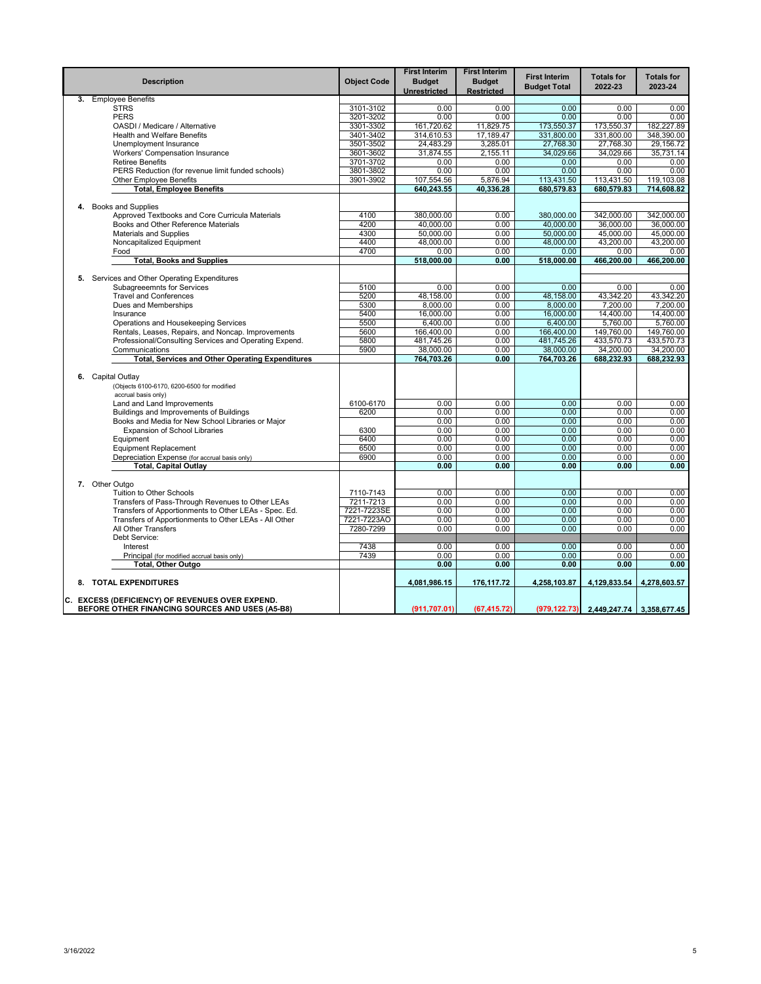|    | <b>Description</b>                                                                                 | <b>Object Code</b> | <b>First Interim</b><br><b>Budget</b><br>Unrestricted | <b>First Interim</b><br><b>Budget</b><br><b>Restricted</b> | <b>First Interim</b><br><b>Budget Total</b> | <b>Totals for</b><br>2022-23              | <b>Totals for</b><br>2023-24 |
|----|----------------------------------------------------------------------------------------------------|--------------------|-------------------------------------------------------|------------------------------------------------------------|---------------------------------------------|-------------------------------------------|------------------------------|
| 3. | <b>Employee Benefits</b>                                                                           |                    |                                                       |                                                            |                                             |                                           |                              |
|    | <b>STRS</b>                                                                                        | 3101-3102          | 0.00                                                  | 0.00                                                       | 0.00                                        | 0.00                                      | 0.00                         |
|    | <b>PERS</b>                                                                                        | 3201-3202          | 0.00                                                  | 0.00                                                       | 0.00                                        | 0.00                                      | 0.00                         |
|    | OASDI / Medicare / Alternative                                                                     | 3301-3302          | 161,720.62                                            | 11,829.75                                                  | 173,550.37                                  | 173,550.37                                | 182,227.89                   |
|    | Health and Welfare Benefits                                                                        | 3401-3402          | 314,610.53                                            | 17,189.47                                                  | 331.800.00                                  | 331,800.00                                | 348.390.00                   |
|    | Unemployment Insurance                                                                             | 3501-3502          | 24,483.29                                             | 3,285.01                                                   | 27,768.30                                   | 27,768.30                                 | 29,156.72                    |
|    | Workers' Compensation Insurance                                                                    | 3601-3602          | 31,874.55                                             | 2,155.11                                                   | 34,029.66                                   | 34,029.66                                 | 35,731.14                    |
|    | <b>Retiree Benefits</b>                                                                            | 3701-3702          | 0.00                                                  | 0.00                                                       | 0.00                                        | 0.00                                      | 0.00                         |
|    | PERS Reduction (for revenue limit funded schools)                                                  | 3801-3802          | 0.00                                                  | 0.00                                                       | 0.00                                        | 0.00                                      | 0.00                         |
|    | <b>Other Employee Benefits</b>                                                                     | 3901-3902          | 107,554.56                                            | 5,876.94                                                   | 113,431.50                                  | 113,431.50                                | 119,103.08                   |
|    | <b>Total, Employee Benefits</b>                                                                    |                    | 640,243.55                                            | 40,336.28                                                  | 680,579.83                                  | 680,579.83                                | 714,608.82                   |
|    |                                                                                                    |                    |                                                       |                                                            |                                             |                                           |                              |
|    | 4. Books and Supplies                                                                              | 4100               | 380,000.00                                            | 0.00                                                       |                                             | 342,000.00                                | 342,000.00                   |
|    | Approved Textbooks and Core Curricula Materials<br>Books and Other Reference Materials             | 4200               | 40.000.00                                             | 0.00                                                       | 380,000.00<br>40.000.00                     | 36.000.00                                 | 36,000.00                    |
|    | <b>Materials and Supplies</b>                                                                      | 4300               | 50,000.00                                             | 0.00                                                       | 50,000,00                                   | 45,000.00                                 | 45,000.00                    |
|    | Noncapitalized Equipment                                                                           | 4400               | 48,000.00                                             | 0.00                                                       | 48,000.00                                   | 43,200.00                                 | 43,200.00                    |
|    | Food                                                                                               | 4700               | 0.00                                                  | 0.00                                                       | 0.00                                        | 0.00                                      | 0.00                         |
|    | <b>Total, Books and Supplies</b>                                                                   |                    | 518,000.00                                            | 0.00                                                       | 518,000.00                                  | 466.200.00                                | 466.200.00                   |
|    |                                                                                                    |                    |                                                       |                                                            |                                             |                                           |                              |
|    | 5. Services and Other Operating Expenditures                                                       |                    |                                                       |                                                            |                                             |                                           |                              |
|    | Subagreeemnts for Services                                                                         | 5100               | 0.00                                                  | 0.00                                                       | 0.00                                        | 0.00                                      | 0.00                         |
|    | <b>Travel and Conferences</b>                                                                      | 5200               | 48,158.00                                             | 0.00                                                       | 48,158.00                                   | 43,342.20                                 | 43,342.20                    |
|    | Dues and Memberships                                                                               | 5300               | 8,000.00                                              | 0.00                                                       | 8,000.00                                    | 7,200.00                                  | 7,200.00                     |
|    | Insurance                                                                                          | 5400               | 16,000.00                                             | 0.00                                                       | 16,000.00                                   | 14,400.00                                 | 14,400.00                    |
|    | Operations and Housekeeping Services                                                               | 5500               | 6,400.00                                              | 0.00                                                       | 6,400.00                                    | 5,760.00                                  | 5,760.00                     |
|    | Rentals, Leases, Repairs, and Noncap. Improvements                                                 | 5600               | 166,400.00                                            | 0.00                                                       | 166,400.00                                  | 149,760.00                                | 149,760.00                   |
|    | Professional/Consulting Services and Operating Expend.                                             | 5800               | 481,745.26                                            | 0.00                                                       | 481,745.26                                  | 433,570.73                                | 433,570.73                   |
|    | Communications                                                                                     | 5900               | 38,000.00                                             | 0.00                                                       | 38,000.00                                   | 34,200.00                                 | 34,200.00                    |
|    | <b>Total, Services and Other Operating Expenditures</b>                                            |                    | 764,703.26                                            | 0.00                                                       | 764,703.26                                  | 688,232.93                                | 688,232.93                   |
|    |                                                                                                    |                    |                                                       |                                                            |                                             |                                           |                              |
|    | 6. Capital Outlay<br>(Objects 6100-6170, 6200-6500 for modified                                    |                    |                                                       |                                                            |                                             |                                           |                              |
|    | accrual basis only)                                                                                |                    |                                                       |                                                            |                                             |                                           |                              |
|    | Land and Land Improvements                                                                         | 6100-6170          | 0.00                                                  | 0.00                                                       | 0.00                                        | 0.00                                      | 0.00                         |
|    | Buildings and Improvements of Buildings                                                            | 6200               | 0.00                                                  | 0.00                                                       | 0.00                                        | 0.00                                      | 0.00                         |
|    | Books and Media for New School Libraries or Major                                                  |                    | 0.00                                                  | 0.00                                                       | 0.00                                        | 0.00                                      | 0.00                         |
|    | <b>Expansion of School Libraries</b>                                                               | 6300               | 0.00                                                  | 0.00                                                       | 0.00                                        | 0.00                                      | 0.00                         |
|    | Equipment                                                                                          | 6400               | 0.00                                                  | 0.00                                                       | 0.00                                        | 0.00                                      | 0.00                         |
|    | <b>Equipment Replacement</b>                                                                       | 6500               | 0.00                                                  | 0.00                                                       | 0.00                                        | 0.00                                      | 0.00                         |
|    | Depreciation Expense (for accrual basis only)                                                      | 6900               | 0.00                                                  | 0.00                                                       | 0.00                                        | 0.00                                      | 0.00                         |
|    | <b>Total, Capital Outlay</b>                                                                       |                    | 0.00                                                  | 0.00                                                       | 0.00                                        | 0.00                                      | 0.00                         |
|    |                                                                                                    |                    |                                                       |                                                            |                                             |                                           |                              |
|    | 7. Other Outgo                                                                                     |                    |                                                       |                                                            |                                             |                                           |                              |
|    | Tuition to Other Schools                                                                           | 7110-7143          | 0.00                                                  | 0.00                                                       | 0.00                                        | 0.00                                      | 0.00                         |
|    | Transfers of Pass-Through Revenues to Other LEAs                                                   | 7211-7213          | 0.00                                                  | 0.00                                                       | 0.00                                        | 0.00                                      | 0.00                         |
|    | Transfers of Apportionments to Other LEAs - Spec. Ed.                                              | 7221-7223SE        | 0.00                                                  | 0.00                                                       | 0.00                                        | 0.00                                      | 0.00                         |
|    | Transfers of Apportionments to Other LEAs - All Other                                              | 7221-7223AO        | 0.00                                                  | 0.00                                                       | 0.00                                        | 0.00                                      | 0.00                         |
|    | All Other Transfers                                                                                | 7280-7299          | 0.00                                                  | 0.00                                                       | 0.00                                        | 0.00                                      | 0.00                         |
|    | Debt Service:                                                                                      |                    |                                                       |                                                            |                                             |                                           |                              |
|    | Interest                                                                                           | 7438               | 0.00                                                  | 0.00                                                       | 0.00                                        | 0.00                                      | 0.00                         |
|    | Principal (for modified accrual basis only)                                                        | 7439               | 0.00                                                  | 0.00                                                       | 0.00                                        | 0.00                                      | 0.00                         |
|    | Total, Other Outgo                                                                                 |                    | 0.00                                                  | 0.00                                                       | 0.00                                        | 0.00                                      | 0.00                         |
|    | 8. TOTAL EXPENDITURES                                                                              |                    | 4,081,986.15                                          | 176,117.72                                                 | 4,258,103.87                                | 4.129.833.54                              | 4,278,603.57                 |
|    |                                                                                                    |                    |                                                       |                                                            |                                             |                                           |                              |
|    | C. EXCESS (DEFICIENCY) OF REVENUES OVER EXPEND.<br>BEFORE OTHER FINANCING SOURCES AND USES (A5-B8) |                    | (911, 707.01)                                         | (67, 415.72)                                               |                                             | $(979, 122.73)$ 2,449,247.74 3,358,677.45 |                              |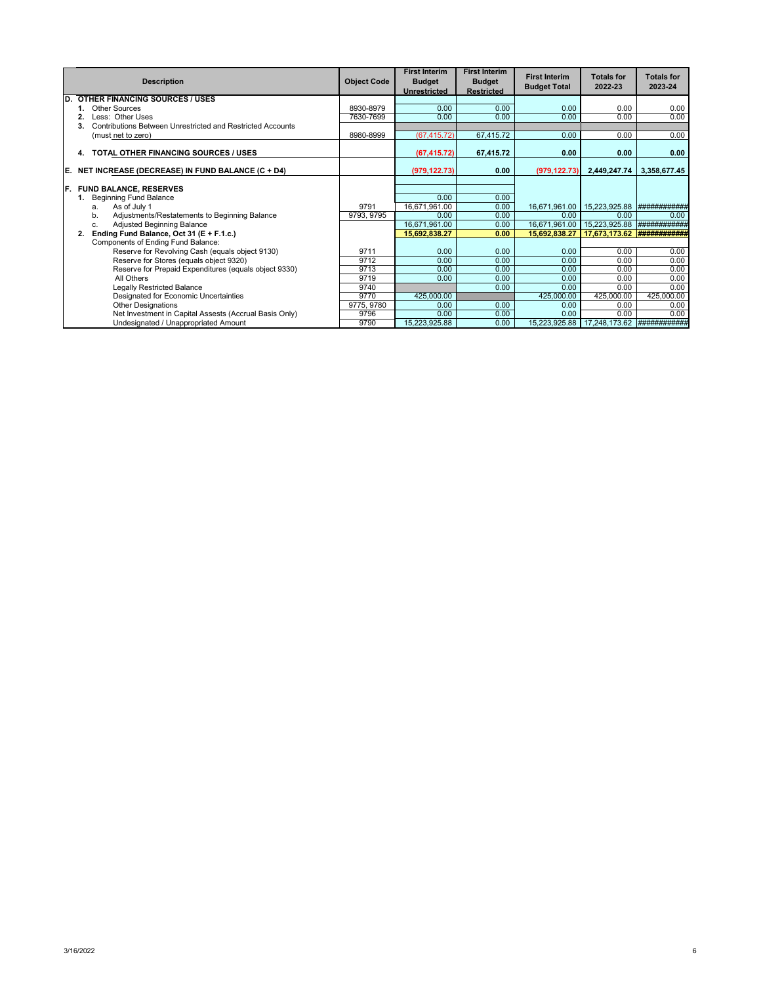|     | <b>Description</b>                                               | <b>Object Code</b> | <b>First Interim</b><br><b>Budget</b><br><b>Unrestricted</b> | <b>First Interim</b><br><b>Budget</b><br><b>Restricted</b> | <b>First Interim</b><br><b>Budget Total</b> | <b>Totals for</b><br>2022-23 | <b>Totals for</b><br>2023-24 |
|-----|------------------------------------------------------------------|--------------------|--------------------------------------------------------------|------------------------------------------------------------|---------------------------------------------|------------------------------|------------------------------|
| D.  | <b>OTHER FINANCING SOURCES / USES</b>                            |                    |                                                              |                                                            |                                             |                              |                              |
|     | Other Sources                                                    | 8930-8979          | 0.00                                                         | 0.00                                                       | 0.00                                        | 0.00                         | 0.00                         |
|     | Less: Other Uses                                                 | 7630-7699          | 0.00                                                         | 0.00                                                       | 0.00                                        | 0.00                         | 0.00                         |
|     | Contributions Between Unrestricted and Restricted Accounts<br>3. |                    |                                                              |                                                            |                                             |                              |                              |
|     | (must net to zero)                                               | 8980-8999          | (67, 415.72)                                                 | 67,415.72                                                  | 0.00                                        | 0.00                         | 0.00                         |
|     | TOTAL OTHER FINANCING SOURCES / USES<br>4.                       |                    | (67, 415.72)                                                 | 67,415.72                                                  | 0.00                                        | 0.00                         | 0.00                         |
| IE. | NET INCREASE (DECREASE) IN FUND BALANCE (C + D4)                 |                    | (979, 122.73)                                                | 0.00                                                       | (979, 122.73)                               | 2,449,247.74                 | 3,358,677.45                 |
| IF. | <b>FUND BALANCE, RESERVES</b>                                    |                    |                                                              |                                                            |                                             |                              |                              |
|     | <b>Beginning Fund Balance</b>                                    |                    | 0.00                                                         | 0.00                                                       |                                             |                              |                              |
|     | As of July 1<br>a.                                               | 9791               | 16,671,961.00                                                | 0.00                                                       | 16,671,961.00                               | 15,223,925.88                | ###########                  |
|     | Adjustments/Restatements to Beginning Balance<br>b.              | 9793, 9795         | 0.00                                                         | 0.00                                                       | 0.00                                        | 0.00                         | 0.00                         |
|     | Adjusted Beginning Balance<br>C.                                 |                    | 16,671,961.00                                                | 0.00                                                       | 16,671,961.00                               | 15,223,925.88                | ###########                  |
|     | Ending Fund Balance, Oct 31 (E + F.1.c.)<br>2.                   |                    | 15,692,838.27                                                | 0.00                                                       | 15.692.838.27                               | 17.673.173.62                |                              |
|     | Components of Ending Fund Balance:                               |                    |                                                              |                                                            |                                             |                              |                              |
|     | Reserve for Revolving Cash (equals object 9130)                  | 9711               | 0.00                                                         | 0.00                                                       | 0.00                                        | 0.00                         | 0.00                         |
|     | Reserve for Stores (equals object 9320)                          | 9712               | 0.00                                                         | 0.00                                                       | 0.00                                        | 0.00                         | 0.00                         |
|     | Reserve for Prepaid Expenditures (equals object 9330)            | 9713               | 0.00                                                         | 0.00                                                       | 0.00                                        | 0.00                         | 0.00                         |
|     | All Others                                                       | 9719               | 0.00                                                         | 0.00                                                       | 0.00                                        | 0.00                         | 0.00                         |
|     | <b>Legally Restricted Balance</b>                                | 9740               |                                                              | 0.00                                                       | 0.00                                        | 0.00                         | 0.00                         |
|     | Designated for Economic Uncertainties                            | 9770               | 425,000.00                                                   |                                                            | 425,000.00                                  | 425,000.00                   | 425,000.00                   |
|     | <b>Other Designations</b>                                        | 9775, 9780         | 0.00                                                         | 0.00                                                       | 0.00                                        | 0.00                         | 0.00                         |
|     | Net Investment in Capital Assests (Accrual Basis Only)           | 9796               | 0.00                                                         | 0.00                                                       | 0.00                                        | 0.00                         | 0.00                         |
|     | Undesignated / Unappropriated Amount                             | 9790               | 15,223,925.88                                                | 0.00                                                       | 15,223,925.88                               | 17,248,173.62                | <b>############</b> #        |